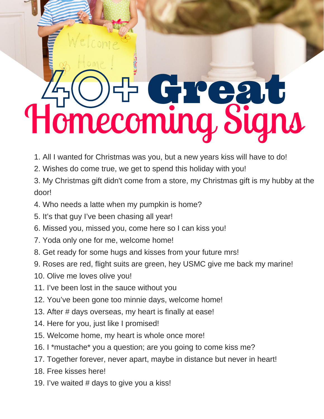## AO+ Great Homecoming Signs

- 1. All I wanted for Christmas was you, but a new years kiss will have to do!
- 2. Wishes do come true, we get to spend this holiday with you!
- 3. My Christmas gift didn't come from a store, my Christmas gift is my hubby at the door!
- 4. Who needs a latte when my pumpkin is home?
- 5. It's that guy I've been chasing all year!
- 6. Missed you, missed you, come here so I can kiss you!
- 7. Yoda only one for me, welcome home!
- 8. Get ready for some hugs and kisses from your future mrs!
- 9. Roses are red, flight suits are green, hey USMC give me back my marine!
- 10. Olive me loves olive you!
- 11. I've been lost in the sauce without you
- 12. You've been gone too minnie days, welcome home!
- 13. After # days overseas, my heart is finally at ease!
- 14. Here for you, just like I promised!
- 15. Welcome home, my heart is whole once more!
- 16. I \*mustache\* you a question; are you going to come kiss me?
- 17. Together forever, never apart, maybe in distance but never in heart!
- 18. Free kisses here!
- 19. I've waited # days to give you a kiss!